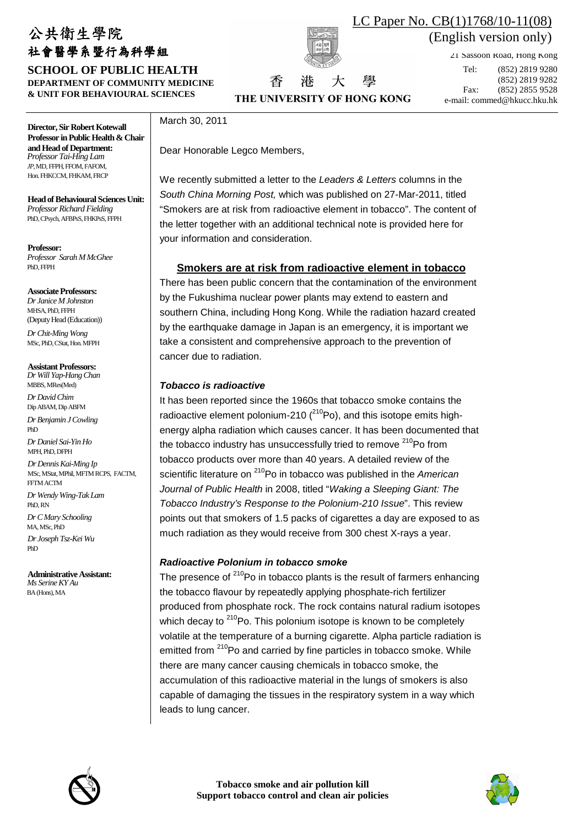# 公共衛生學院 社會醫學系暨行為科學組

**SCHOOL OF PUBLIC HEALTH DEPARTMENT OF COMMUNITY MEDICINE & UNIT FOR BEHAVIOURAL SCIENCES** 



THE UNIVERSITY OF HONG KONG

大

湷

香

壆

 $\mathsf{nolich}$  version only) (English version only) LC Paper No. CB(1)1768/10-11(08)

21 Sassoon Road, Hong Kong

Tel: (852) 2819 9280 (852) 2819 9282 Fax: (852) 2855 9528 e-mail: commed@hkucc.hku.hk

**Director, Sir Robert Kotewall Professor in Public Health & Chair and Head of Department:**  *Professor Tai-Hing Lam JP*, MD, FFPH, FFOM, FAFOM, Hon. FHKCCM, FHKAM, FRCP

**Head of Behavioural Sciences Unit:** *Professor Richard Fielding*  PhD, CPsych, AFBPsS, FHKPsS, FFPH

#### **Professor:**

*Professor Sarah M McGhee*  PhD, FFPH

### **Associate Professors:**

*Dr Janice M Johnston*  MHSA, PhD, FFPH (Deputy Head (Education)) *Dr Chit-Ming Wong* MSc, PhD, CStat, Hon. MFPH

### **Assistant Professors:**

*Dr Will Yap-Hang Chan* MBBS, MRes(Med) *Dr David Chim* Dip ABAM, Dip ABFM *Dr Benjamin J Cowling*  PhD *Dr Daniel Sai-Yin Ho*  MPH, PhD, DFPH *Dr Dennis Kai-Ming Ip*  MSc, MStat, MPhil, MFTM RCPS, FACTM, FFTM ACTM *Dr Wendy Wing-Tak Lam* PhD, RN *Dr C Mary Schooling*  MA, MSc, PhD *Dr Joseph Tsz-Kei Wu*  PhD

**Administrative Assistant:**  *Ms Serine KY Au*  BA (Hons), MA

### March 30, 2011

Dear Honorable Legco Members,

We recently submitted a letter to the Leaders & Letters columns in the South China Morning Post, which was published on 27-Mar-2011, titled "Smokers are at risk from radioactive element in tobacco". The content of the letter together with an additional technical note is provided here for your information and consideration.

# **Smokers are at risk from radioactive element in tobacco**

There has been public concern that the contamination of the environment by the Fukushima nuclear power plants may extend to eastern and southern China, including Hong Kong. While the radiation hazard created by the earthquake damage in Japan is an emergency, it is important we take a consistent and comprehensive approach to the prevention of cancer due to radiation.

# **Tobacco is radioactive**

It has been reported since the 1960s that tobacco smoke contains the radioactive element polonium-210  $(^{210}Po)$ , and this isotope emits highenergy alpha radiation which causes cancer. It has been documented that the tobacco industry has unsuccessfully tried to remove <sup>210</sup>Po from tobacco products over more than 40 years. A detailed review of the scientific literature on <sup>210</sup>Po in tobacco was published in the American Journal of Public Health in 2008, titled "Waking a Sleeping Giant: The Tobacco Industry's Response to the Polonium-210 Issue". This review points out that smokers of 1.5 packs of cigarettes a day are exposed to as much radiation as they would receive from 300 chest X-rays a year.

# **Radioactive Polonium in tobacco smoke**

The presence of  $2^{10}$ Po in tobacco plants is the result of farmers enhancing the tobacco flavour by repeatedly applying phosphate-rich fertilizer produced from phosphate rock. The rock contains natural radium isotopes which decay to  $2^{10}$ Po. This polonium isotope is known to be completely volatile at the temperature of a burning cigarette. Alpha particle radiation is emitted from <sup>210</sup>Po and carried by fine particles in tobacco smoke. While there are many cancer causing chemicals in tobacco smoke, the accumulation of this radioactive material in the lungs of smokers is also capable of damaging the tissues in the respiratory system in a way which leads to lung cancer.



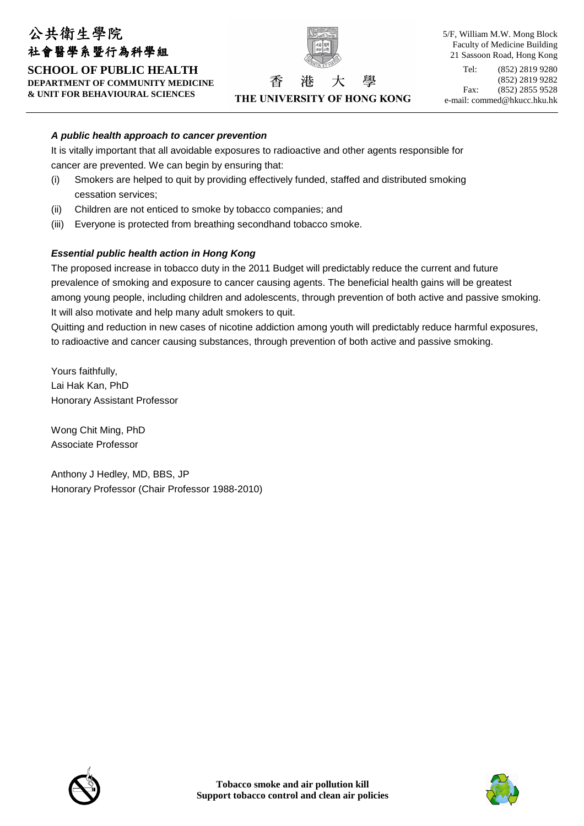# 公共衛生學院 社會醫學系暨行為科學組 **SCHOOL OF PUBLIC HEALTH DEPARTMENT OF COMMUNITY MEDICINE & UNIT FOR BEHAVIOURAL SCIENCES**



THE UNIVERSITY OF HONG KONG

壆

港

5/F, William M.W. Mong Block Faculty of Medicine Building 21 Sassoon Road, Hong Kong Tel: (852) 2819 9280 (852) 2819 9282 Fax: (852) 2855 9528 e-mail: commed@hkucc.hku.hk

### **A public health approach to cancer prevention**

It is vitally important that all avoidable exposures to radioactive and other agents responsible for cancer are prevented. We can begin by ensuring that:

香

- (i) Smokers are helped to quit by providing effectively funded, staffed and distributed smoking cessation services;
- (ii) Children are not enticed to smoke by tobacco companies; and
- (iii) Everyone is protected from breathing secondhand tobacco smoke.

### **Essential public health action in Hong Kong**

The proposed increase in tobacco duty in the 2011 Budget will predictably reduce the current and future prevalence of smoking and exposure to cancer causing agents. The beneficial health gains will be greatest among young people, including children and adolescents, through prevention of both active and passive smoking. It will also motivate and help many adult smokers to quit.

Quitting and reduction in new cases of nicotine addiction among youth will predictably reduce harmful exposures, to radioactive and cancer causing substances, through prevention of both active and passive smoking.

Yours faithfully, Lai Hak Kan, PhD Honorary Assistant Professor

Wong Chit Ming, PhD Associate Professor

Anthony J Hedley, MD, BBS, JP Honorary Professor (Chair Professor 1988-2010)